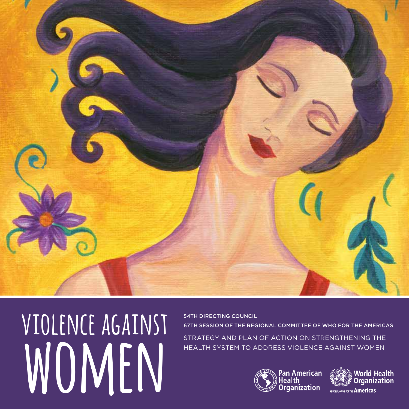

**violence against** WOMEN

54th DIRECTING COUNCIL 67th SESSION OF THE REGIONAL COMMITTEE OF WHO FOR THE AMERICAS STRATEGY AND PLAN OF ACTION ON STRENGTHENING THE HEALTH SYSTEM TO ADDRESS VIOLENCE AGAINST WOMEN



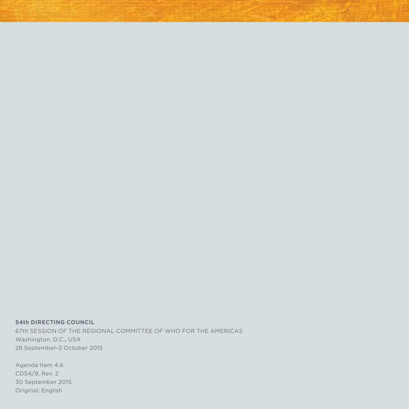**54th DIRECTING COUNCIL** 67th SESSION OF THE REGIONAL COMMITTEE OF WHO FOR THE AMERICAS Washington, D.C., USA 28 September–2 October 2015

Agenda Item 4.6 CD54/9, Rev. 2 30 September 2015 Original: English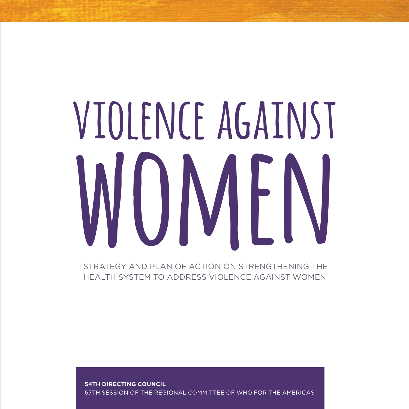# **violence against women**

STRATEGY AND PLAN OF ACTION ON STRENGTHENING THE HEALTH SYSTEM TO ADDRESS VIOLENCE AGAINST WOMEN

**54TH DIRECTING COUNCIL** 67TH SESSION OF THE REGIONAL COMMITTEE OF WHO FOR THE AMERICAS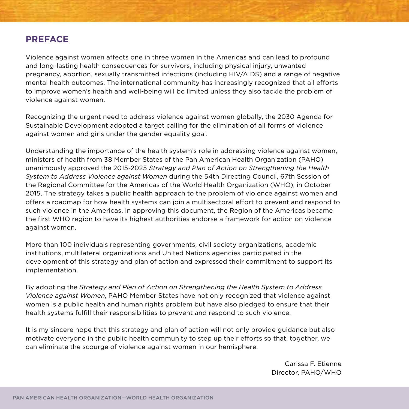# **PREFACE**

Violence against women affects one in three women in the Americas and can lead to profound and long-lasting health consequences for survivors, including physical injury, unwanted pregnancy, abortion, sexually transmitted infections (including HIV/AIDS) and a range of negative mental health outcomes. The international community has increasingly recognized that all efforts to improve women's health and well-being will be limited unless they also tackle the problem of violence against women.

Recognizing the urgent need to address violence against women globally, the 2030 Agenda for Sustainable Development adopted a target calling for the elimination of all forms of violence against women and girls under the gender equality goal.

Understanding the importance of the health system's role in addressing violence against women, ministers of health from 38 Member States of the Pan American Health Organization (PAHO) unanimously approved the 2015-2025 *Strategy and Plan of Action on Strengthening the Health System to Address Violence against Women* during the 54th Directing Council, 67th Session of the Regional Committee for the Americas of the World Health Organization (WHO), in October 2015. The strategy takes a public health approach to the problem of violence against women and offers a roadmap for how health systems can join a multisectoral effort to prevent and respond to such violence in the Americas. In approving this document, the Region of the Americas became the first WHO region to have its highest authorities endorse a framework for action on violence against women.

More than 100 individuals representing governments, civil society organizations, academic institutions, multilateral organizations and United Nations agencies participated in the development of this strategy and plan of action and expressed their commitment to support its implementation.

By adopting the *Strategy and Plan of Action on Strengthening the Health System to Address Violence against Women*, PAHO Member States have not only recognized that violence against women is a public health and human rights problem but have also pledged to ensure that their health systems fulfill their responsibilities to prevent and respond to such violence.

It is my sincere hope that this strategy and plan of action will not only provide guidance but also motivate everyone in the public health community to step up their efforts so that, together, we can eliminate the scourge of violence against women in our hemisphere.

> Carissa F. Etienne Director, PAHO/WHO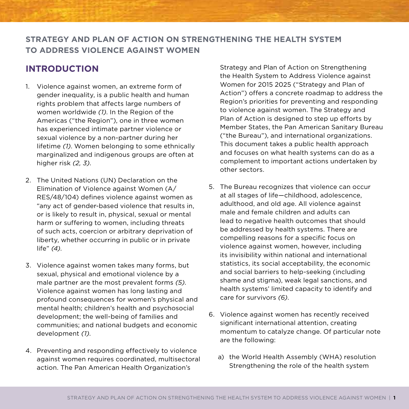# **Strategy and Plan of Action on Strengthening the health system to address violence against women**

# **Introduction**

- 1. Violence against women, an extreme form of gender inequality, is a public health and human rights problem that affects large numbers of women worldwide *(1)*. In the Region of the Americas ("the Region"), one in three women has experienced intimate partner violence or sexual violence by a non-partner during her lifetime *(1)*. Women belonging to some ethnically marginalized and indigenous groups are often at higher risk *(2, 3)*.
- 2. The United Nations (UN) Declaration on the Elimination of Violence against Women (A/ RES/48/104) defines violence against women as "any act of gender-based violence that results in, or is likely to result in, physical, sexual or mental harm or suffering to women, including threats of such acts, coercion or arbitrary deprivation of liberty, whether occurring in public or in private life" *(4)*.
- 3. Violence against women takes many forms, but sexual, physical and emotional violence by a male partner are the most prevalent forms *(5)*. Violence against women has long lasting and profound consequences for women's physical and mental health; children's health and psychosocial development; the well-being of families and communities; and national budgets and economic development *(1)*.
- 4. Preventing and responding effectively to violence against women requires coordinated, multisectoral action. The Pan American Health Organization's

Strategy and Plan of Action on Strengthening the Health System to Address Violence against Women for 2015 2025 ("Strategy and Plan of Action") offers a concrete roadmap to address the Region's priorities for preventing and responding to violence against women. The Strategy and Plan of Action is designed to step up efforts by Member States, the Pan American Sanitary Bureau ("the Bureau"), and international organizations. This document takes a public health approach and focuses on what health systems can do as a complement to important actions undertaken by other sectors.

- 5. The Bureau recognizes that violence can occur at all stages of life—childhood, adolescence, adulthood, and old age. All violence against male and female children and adults can lead to negative health outcomes that should be addressed by health systems. There are compelling reasons for a specific focus on violence against women, however, including its invisibility within national and international statistics, its social acceptability, the economic and social barriers to help-seeking (including shame and stigma), weak legal sanctions, and health systems' limited capacity to identify and care for survivors *(6)*.
- 6. Violence against women has recently received significant international attention, creating momentum to catalyze change. Of particular note are the following:
	- a) the World Health Assembly (WHA) resolution Strengthening the role of the health system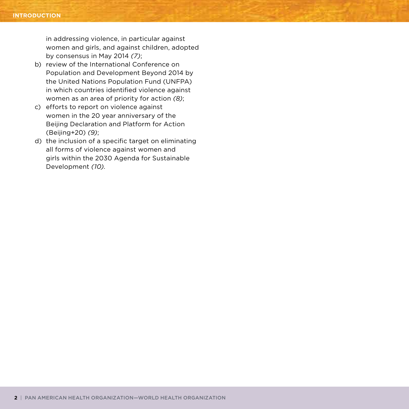in addressing violence, in particular against women and girls, and against children, adopted by consensus in May 2014 *(7)*;

- b) review of the International Conference on Population and Development Beyond 2014 by the United Nations Population Fund (UNFPA) in which countries identified violence against women as an area of priority for action *(8)*;
- c) efforts to report on violence against women in the 20 year anniversary of the Beijing Declaration and Platform for Action (Beijing+20) *(9)*;
- d) the inclusion of a specific target on eliminating all forms of violence against women and girls within the 2030 Agenda for Sustainable Development *(10)*.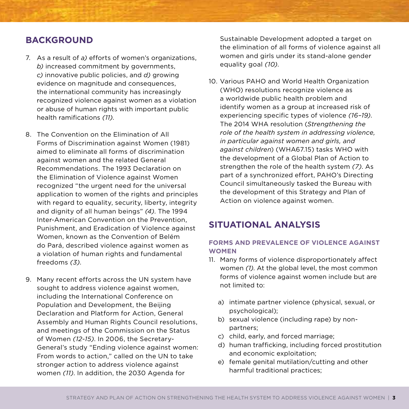# **Background**

- 7. As a result of *a)* efforts of women's organizations, *b)* increased commitment by governments, *c)* innovative public policies, and *d)* growing evidence on magnitude and consequences, the international community has increasingly recognized violence against women as a violation or abuse of human rights with important public health ramifications *(11)*.
- 8. The Convention on the Elimination of All Forms of Discrimination against Women (1981) aimed to eliminate all forms of discrimination against women and the related General Recommendations. The 1993 Declaration on the Elimination of Violence against Women recognized "the urgent need for the universal application to women of the rights and principles with regard to equality, security, liberty, integrity and dignity of all human beings" *(4)*. The 1994 Inter-American Convention on the Prevention, Punishment, and Eradication of Violence against Women, known as the Convention of Belém do Pará, described violence against women as a violation of human rights and fundamental freedoms *(3)*.
- 9. Many recent efforts across the UN system have sought to address violence against women, including the International Conference on Population and Development, the Beijing Declaration and Platform for Action, General Assembly and Human Rights Council resolutions, and meetings of the Commission on the Status of Women *(12-15)*. In 2006, the Secretary-General's study "Ending violence against women: From words to action," called on the UN to take stronger action to address violence against women *(11)*. In addition, the 2030 Agenda for

Sustainable Development adopted a target on the elimination of all forms of violence against all women and girls under its stand-alone gender equality goal *(10)*.

10. Various PAHO and World Health Organization (WHO) resolutions recognize violence as a worldwide public health problem and identify women as a group at increased risk of experiencing specific types of violence *(16–19)*. The 2014 WHA resolution (*Strengthening the role of the health system in addressing violence, in particular against women and girls, and against children*) (WHA67.15) tasks WHO with the development of a Global Plan of Action to strengthen the role of the health system *(7)*. As part of a synchronized effort, PAHO's Directing Council simultaneously tasked the Bureau with the development of this Strategy and Plan of Action on violence against women.

# **Situational Analysis**

# **Forms and Prevalence of Violence against Women**

- 11. Many forms of violence disproportionately affect women *(1)*. At the global level, the most common forms of violence against women include but are not limited to:
	- a) intimate partner violence (physical, sexual, or psychological);
	- b) sexual violence (including rape) by nonpartners;
	- c) child, early, and forced marriage;
	- d) human trafficking, including forced prostitution and economic exploitation;
	- e) female genital mutilation/cutting and other harmful traditional practices;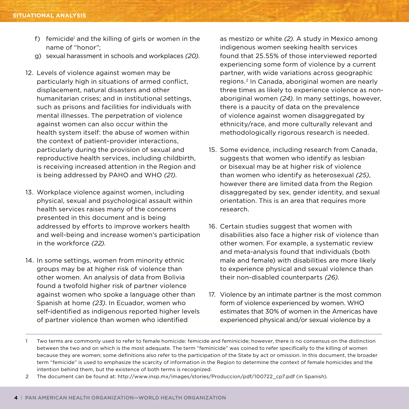- f) femicide<sup>1</sup> and the killing of girls or women in the name of "honor";
- g) sexual harassment in schools and workplaces *(20)*.
- 12. Levels of violence against women may be particularly high in situations of armed conflict, displacement, natural disasters and other humanitarian crises; and in institutional settings, such as prisons and facilities for individuals with mental illnesses. The perpetration of violence against women can also occur within the health system itself: the abuse of women within the context of patient–provider interactions, particularly during the provision of sexual and reproductive health services, including childbirth, is receiving increased attention in the Region and is being addressed by PAHO and WHO *(21)*.
- 13. Workplace violence against women, including physical, sexual and psychological assault within health services raises many of the concerns presented in this document and is being addressed by efforts to improve workers health and well-being and increase women's participation in the workforce *(22)*.
- 14. In some settings, women from minority ethnic groups may be at higher risk of violence than other women. An analysis of data from Bolivia found a twofold higher risk of partner violence against women who spoke a language other than Spanish at home *(23)*. In Ecuador, women who self-identified as indigenous reported higher levels of partner violence than women who identified

as mestizo or white *(2)*. A study in Mexico among indigenous women seeking health services found that 25.55% of those interviewed reported experiencing some form of violence by a current partner, with wide variations across geographic regions.2 In Canada, aboriginal women are nearly three times as likely to experience violence as nonaboriginal women *(24)*. In many settings, however, there is a paucity of data on the prevalence of violence against women disaggregated by ethnicity/race, and more culturally relevant and methodologically rigorous research is needed.

- 15. Some evidence, including research from Canada, suggests that women who identify as lesbian or bisexual may be at higher risk of violence than women who identify as heterosexual *(25)*, however there are limited data from the Region disaggregated by sex, gender identity, and sexual orientation. This is an area that requires more research.
- 16. Certain studies suggest that women with disabilities also face a higher risk of violence than other women. For example, a systematic review and meta-analysis found that individuals (both male and female) with disabilities are more likely to experience physical and sexual violence than their non-disabled counterparts *(26)*.
- 17. Violence by an intimate partner is the most common form of violence experienced by women. WHO estimates that 30% of women in the Americas have experienced physical and/or sexual violence by a

<sup>1</sup> Two terms are commonly used to refer to female homicide: femicide and feminicide; however, there is no consensus on the distinction between the two and on which is the most adequate. The term "feminicide" was coined to refer specifically to the killing of women because they are women; some definitions also refer to the participation of the State by act or omission. In this document, the broader term "femicide" is used to emphasize the scarcity of information in the Region to determine the context of female homicides and the intention behind them, but the existence of both terms is recognized.

<sup>2</sup> The document can be found at: http://www.insp.mx/images/stories/Produccion/pdf/100722\_cp7.pdf (in Spanish).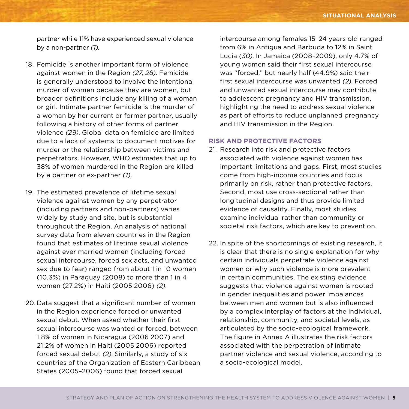partner while 11% have experienced sexual violence by a non-partner *(1)*.

- 18. Femicide is another important form of violence against women in the Region *(27, 28)*. Femicide is generally understood to involve the intentional murder of women because they are women, but broader definitions include any killing of a woman or girl. Intimate partner femicide is the murder of a woman by her current or former partner, usually following a history of other forms of partner violence *(29)*. Global data on femicide are limited due to a lack of systems to document motives for murder or the relationship between victims and perpetrators. However, WHO estimates that up to 38% of women murdered in the Region are killed by a partner or ex-partner *(1)*.
- 19. The estimated prevalence of lifetime sexual violence against women by any perpetrator (including partners and non-partners) varies widely by study and site, but is substantial throughout the Region. An analysis of national survey data from eleven countries in the Region found that estimates of lifetime sexual violence against ever married women (including forced sexual intercourse, forced sex acts, and unwanted sex due to fear) ranged from about 1 in 10 women (10.3%) in Paraguay (2008) to more than 1 in 4 women (27.2%) in Haiti (2005 2006) *(2)*.
- 20. Data suggest that a significant number of women in the Region experience forced or unwanted sexual debut. When asked whether their first sexual intercourse was wanted or forced, between 1.8% of women in Nicaragua (2006 2007) and 21.2% of women in Haiti (2005 2006) reported forced sexual debut *(2)*. Similarly, a study of six countries of the Organization of Eastern Caribbean States (2005–2006) found that forced sexual

intercourse among females 15–24 years old ranged from 6% in Antigua and Barbuda to 12% in Saint Lucia *(30)*. In Jamaica (2008–2009), only 4.7% of young women said their first sexual intercourse was "forced," but nearly half (44.9%) said their first sexual intercourse was unwanted *(2)*. Forced and unwanted sexual intercourse may contribute to adolescent pregnancy and HIV transmission, highlighting the need to address sexual violence as part of efforts to reduce unplanned pregnancy and HIV transmission in the Region.

#### **Risk and Protective Factors**

- 21. Research into risk and protective factors associated with violence against women has important limitations and gaps. First, most studies come from high-income countries and focus primarily on risk, rather than protective factors. Second, most use cross-sectional rather than longitudinal designs and thus provide limited evidence of causality. Finally, most studies examine individual rather than community or societal risk factors, which are key to prevention.
- 22. In spite of the shortcomings of existing research, it is clear that there is no single explanation for why certain individuals perpetrate violence against women or why such violence is more prevalent in certain communities. The existing evidence suggests that violence against women is rooted in gender inequalities and power imbalances between men and women but is also influenced by a complex interplay of factors at the individual, relationship, community, and societal levels, as articulated by the socio-ecological framework. The figure in Annex A illustrates the risk factors associated with the perpetration of intimate partner violence and sexual violence, according to a socio-ecological model.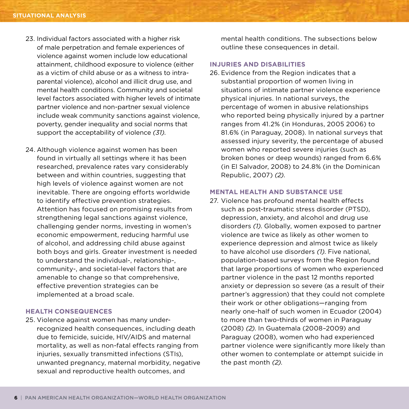- 23. Individual factors associated with a higher risk of male perpetration and female experiences of violence against women include low educational attainment, childhood exposure to violence (either as a victim of child abuse or as a witness to intraparental violence), alcohol and illicit drug use, and mental health conditions. Community and societal level factors associated with higher levels of intimate partner violence and non-partner sexual violence include weak community sanctions against violence, poverty, gender inequality and social norms that support the acceptability of violence *(31)*.
- 24. Although violence against women has been found in virtually all settings where it has been researched, prevalence rates vary considerably between and within countries, suggesting that high levels of violence against women are not inevitable. There are ongoing efforts worldwide to identify effective prevention strategies. Attention has focused on promising results from strengthening legal sanctions against violence, challenging gender norms, investing in women's economic empowerment, reducing harmful use of alcohol, and addressing child abuse against both boys and girls. Greater investment is needed to understand the individual-, relationship-, community-, and societal-level factors that are amenable to change so that comprehensive, effective prevention strategies can be implemented at a broad scale.

## **Health Consequences**

25. Violence against women has many underrecognized health consequences, including death due to femicide, suicide, HIV/AIDS and maternal mortality, as well as non-fatal effects ranging from injuries, sexually transmitted infections (STIs), unwanted pregnancy, maternal morbidity, negative sexual and reproductive health outcomes, and

mental health conditions. The subsections below outline these consequences in detail.

#### **Injuries and Disabilities**

26. Evidence from the Region indicates that a substantial proportion of women living in situations of intimate partner violence experience physical injuries. In national surveys, the percentage of women in abusive relationships who reported being physically injured by a partner ranges from 41.2% (in Honduras, 2005 2006) to 81.6% (in Paraguay, 2008). In national surveys that assessed injury severity, the percentage of abused women who reported severe injuries (such as broken bones or deep wounds) ranged from 6.6% (in El Salvador, 2008) to 24.8% (in the Dominican Republic, 2007) *(2)*.

#### **Mental Health and Substance Use**

27. Violence has profound mental health effects such as post-traumatic stress disorder (PTSD), depression, anxiety, and alcohol and drug use disorders *(1)*. Globally, women exposed to partner violence are twice as likely as other women to experience depression and almost twice as likely to have alcohol use disorders *(1)*. Five national, population-based surveys from the Region found that large proportions of women who experienced partner violence in the past 12 months reported anxiety or depression so severe (as a result of their partner's aggression) that they could not complete their work or other obligations—ranging from nearly one-half of such women in Ecuador (2004) to more than two-thirds of women in Paraguay (2008) *(2)*. In Guatemala (2008–2009) and Paraguay (2008), women who had experienced partner violence were significantly more likely than other women to contemplate or attempt suicide in the past month *(2)*.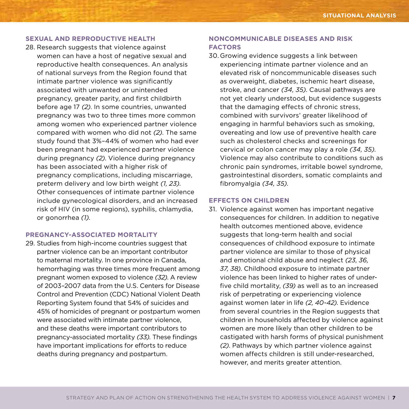## **Sexual and Reproductive Health**

28. Research suggests that violence against women can have a host of negative sexual and reproductive health consequences. An analysis of national surveys from the Region found that intimate partner violence was significantly associated with unwanted or unintended pregnancy, greater parity, and first childbirth before age 17 *(2)*. In some countries, unwanted pregnancy was two to three times more common among women who experienced partner violence compared with women who did not *(2)*. The same study found that 3%–44% of women who had ever been pregnant had experienced partner violence during pregnancy *(2)*. Violence during pregnancy has been associated with a higher risk of pregnancy complications, including miscarriage, preterm delivery and low birth weight *(1, 23)*. Other consequences of intimate partner violence include gynecological disorders, and an increased risk of HIV (in some regions), syphilis, chlamydia, or gonorrhea *(1)*.

#### **Pregnancy-associated mortality**

29. Studies from high-income countries suggest that partner violence can be an important contributor to maternal mortality. In one province in Canada, hemorrhaging was three times more frequent among pregnant women exposed to violence *(32)*. A review of 2003–2007 data from the U.S. Centers for Disease Control and Prevention (CDC) National Violent Death Reporting System found that 54% of suicides and 45% of homicides of pregnant or postpartum women were associated with intimate partner violence, and these deaths were important contributors to pregnancy-associated mortality *(33)*. These findings have important implications for efforts to reduce deaths during pregnancy and postpartum.

## **Noncommunicable Diseases and Risk Factors**

30. Growing evidence suggests a link between experiencing intimate partner violence and an elevated risk of noncommunicable diseases such as overweight, diabetes, ischemic heart disease, stroke, and cancer *(34, 35)*. Causal pathways are not yet clearly understood, but evidence suggests that the damaging effects of chronic stress, combined with survivors' greater likelihood of engaging in harmful behaviors such as smoking, overeating and low use of preventive health care such as cholesterol checks and screenings for cervical or colon cancer may play a role *(34, 35)*. Violence may also contribute to conditions such as chronic pain syndromes, irritable bowel syndrome, gastrointestinal disorders, somatic complaints and fibromyalgia *(34, 35)*.

#### **Effects on Children**

31. Violence against women has important negative consequences for children. In addition to negative health outcomes mentioned above, evidence suggests that long-term health and social consequences of childhood exposure to intimate partner violence are similar to those of physical and emotional child abuse and neglect *(23, 36, 37, 38)*. Childhood exposure to intimate partner violence has been linked to higher rates of underfive child mortality, *(39)* as well as to an increased risk of perpetrating or experiencing violence against women later in life *(2, 40-42)*. Evidence from several countries in the Region suggests that children in households affected by violence against women are more likely than other children to be castigated with harsh forms of physical punishment *(2)*. Pathways by which partner violence against women affects children is still under-researched, however, and merits greater attention.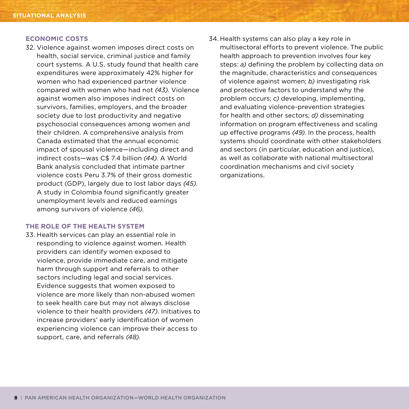#### **Economic Costs**

32. Violence against women imposes direct costs on health, social service, criminal justice and family court systems. A U.S. study found that health care expenditures were approximately 42% higher for women who had experienced partner violence compared with women who had not *(43)*. Violence against women also imposes indirect costs on survivors, families, employers, and the broader society due to lost productivity and negative psychosocial consequences among women and their children. A comprehensive analysis from Canada estimated that the annual economic impact of spousal violence—including direct and indirect costs—was C\$ 7.4 billion *(44)*. A World Bank analysis concluded that intimate partner violence costs Peru 3.7% of their gross domestic product (GDP), largely due to lost labor days *(45)*. A study in Colombia found significantly greater unemployment levels and reduced earnings among survivors of violence *(46)*.

#### **The Role of the Health System**

33. Health services can play an essential role in responding to violence against women. Health providers can identify women exposed to violence, provide immediate care, and mitigate harm through support and referrals to other sectors including legal and social services. Evidence suggests that women exposed to violence are more likely than non-abused women to seek health care but may not always disclose violence to their health providers *(47)*. Initiatives to increase providers' early identification of women experiencing violence can improve their access to support, care, and referrals *(48)*.

34. Health systems can also play a key role in multisectoral efforts to prevent violence. The public health approach to prevention involves four key steps: *a)* defining the problem by collecting data on the magnitude, characteristics and consequences of violence against women; *b)* investigating risk and protective factors to understand why the problem occurs; *c)* developing, implementing, and evaluating violence-prevention strategies for health and other sectors; *d)* disseminating information on program effectiveness and scaling up effective programs *(49)*. In the process, health systems should coordinate with other stakeholders and sectors (in particular, education and justice), as well as collaborate with national multisectoral coordination mechanisms and civil society organizations.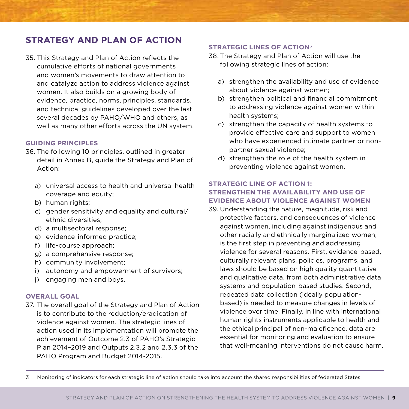# **Strategy and Plan of Action**

35. This Strategy and Plan of Action reflects the cumulative efforts of national governments and women's movements to draw attention to and catalyze action to address violence against women. It also builds on a growing body of evidence, practice, norms, principles, standards, and technical guidelines developed over the last several decades by PAHO/WHO and others, as well as many other efforts across the UN system.

## **Guiding Principles**

- 36. The following 10 principles, outlined in greater detail in Annex B, guide the Strategy and Plan of Action:
	- a) universal access to health and universal health coverage and equity;
	- b) human rights;
	- c) gender sensitivity and equality and cultural/ ethnic diversities;
	- d) a multisectoral response;
	- e) evidence-informed practice;
	- f) life-course approach;
	- g) a comprehensive response;
	- h) community involvement;
	- i) autonomy and empowerment of survivors;
	- j) engaging men and boys.

## **Overall Goal**

37. The overall goal of the Strategy and Plan of Action is to contribute to the reduction/eradication of violence against women. The strategic lines of action used in its implementation will promote the achievement of Outcome 2.3 of PAHO's Strategic Plan 2014–2019 and Outputs 2.3.2 and 2.3.3 of the PAHO Program and Budget 2014-2015.

#### **Strategic Lines of Action**<sup>3</sup>

- 38. The Strategy and Plan of Action will use the following strategic lines of action:
	- a) strengthen the availability and use of evidence about violence against women;
	- b) strengthen political and financial commitment to addressing violence against women within health systems;
	- c) strengthen the capacity of health systems to provide effective care and support to women who have experienced intimate partner or nonpartner sexual violence;
	- d) strengthen the role of the health system in preventing violence against women.

## **Strategic Line of Action 1: Strengthen the availability and use of evidence about violence against women**

39. Understanding the nature, magnitude, risk and protective factors, and consequences of violence against women, including against indigenous and other racially and ethnically marginalized women, is the first step in preventing and addressing violence for several reasons. First, evidence-based, culturally relevant plans, policies, programs, and laws should be based on high quality quantitative and qualitative data, from both administrative data systems and population-based studies. Second, repeated data collection (ideally populationbased) is needed to measure changes in levels of violence over time. Finally, in line with international human rights instruments applicable to health and the ethical principal of non-maleficence, data are essential for monitoring and evaluation to ensure that well-meaning interventions do not cause harm.

3 Monitoring of indicators for each strategic line of action should take into account the shared responsibilities of federated States.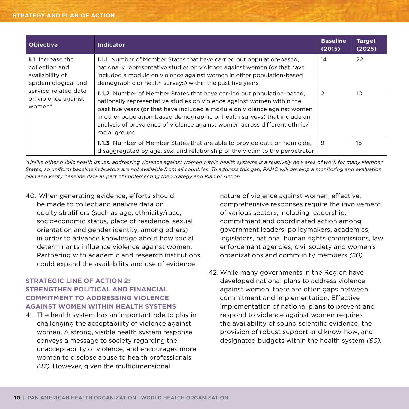#### **strategy and plan of action**

| <b>Objective</b>                                                                                                                      | <b>Indicator</b>                                                                                                                                                                                                                                                                                                                                                                                              | <b>Baseline</b><br>(2015) | <b>Target</b><br>(2025) |
|---------------------------------------------------------------------------------------------------------------------------------------|---------------------------------------------------------------------------------------------------------------------------------------------------------------------------------------------------------------------------------------------------------------------------------------------------------------------------------------------------------------------------------------------------------------|---------------------------|-------------------------|
| 1.1 Increase the<br>collection and<br>availability of<br>epidemiological and<br>service-related data<br>on violence against<br>women* | <b>1.1.1</b> Number of Member States that have carried out population-based,<br>nationally representative studies on violence against women (or that have<br>included a module on violence against women in other population-based<br>demographic or health surveys) within the past five years                                                                                                               | 14                        | 22                      |
|                                                                                                                                       | <b>1.1.2</b> Number of Member States that have carried out population-based.<br>nationally representative studies on violence against women within the<br>past five years (or that have included a module on violence against women<br>in other population-based demographic or health surveys) that include an<br>analysis of prevalence of violence against women across different ethnic/<br>racial groups | 2                         | 10                      |
|                                                                                                                                       | <b>1.1.3</b> Number of Member States that are able to provide data on homicide,<br>disaggregated by age, sex, and relationship of the victim to the perpetrator                                                                                                                                                                                                                                               | 9                         | 15                      |

*\*Unlike other public health issues, addressing violence against women within health systems is a relatively new area of work for many Member States, so uniform baseline indicators are not available from all countries. To address this gap, PAHO will develop a monitoring and evaluation plan and verify baseline data as part of implementing the Strategy and Plan of Action*

40. When generating evidence, efforts should be made to collect and analyze data on equity stratifiers (such as age, ethnicity/race, socioeconomic status, place of residence, sexual orientation and gender identity, among others) in order to advance knowledge about how social determinants influence violence against women. Partnering with academic and research institutions could expand the availability and use of evidence.

# **Strategic Line of Action 2: Strengthen political and financial commitment to addressing violence against women within health systems**

41. The health system has an important role to play in challenging the acceptability of violence against women. A strong, visible health system response conveys a message to society regarding the unacceptability of violence, and encourages more women to disclose abuse to health professionals *(47)*. However, given the multidimensional

nature of violence against women, effective, comprehensive responses require the involvement of various sectors, including leadership, commitment and coordinated action among government leaders, policymakers, academics, legislators, national human rights commissions, law enforcement agencies, civil society and women's organizations and community members *(50)*.

42. While many governments in the Region have developed national plans to address violence against women, there are often gaps between commitment and implementation. Effective implementation of national plans to prevent and respond to violence against women requires the availability of sound scientific evidence, the provision of robust support and know-how, and designated budgets within the health system *(50)*.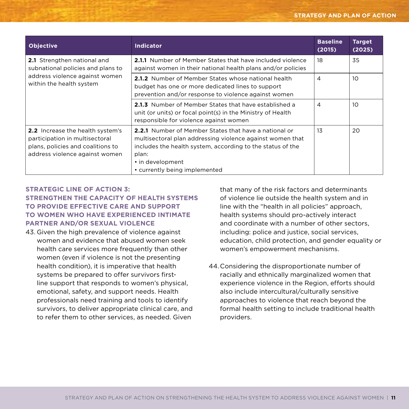| <b>Objective</b>                                                                                                                                 | <b>Indicator</b>                                                                                                                                                                                                                                      | <b>Baseline</b><br>(2015) | <b>Target</b><br>(2025) |
|--------------------------------------------------------------------------------------------------------------------------------------------------|-------------------------------------------------------------------------------------------------------------------------------------------------------------------------------------------------------------------------------------------------------|---------------------------|-------------------------|
| 2.1 Strengthen national and<br>subnational policies and plans to                                                                                 | <b>2.1.1</b> Number of Member States that have included violence<br>against women in their national health plans and/or policies                                                                                                                      | 18                        | 35                      |
| address violence against women<br>within the health system                                                                                       | <b>2.1.2</b> Number of Member States whose national health<br>budget has one or more dedicated lines to support<br>prevention and/or response to violence against women                                                                               | 4                         | 10                      |
|                                                                                                                                                  | 2.1.3 Number of Member States that have established a<br>unit (or units) or focal point(s) in the Ministry of Health<br>responsible for violence against women                                                                                        | 4                         | 10                      |
| <b>2.2</b> Increase the health system's<br>participation in multisectoral<br>plans, policies and coalitions to<br>address violence against women | <b>2.2.1</b> Number of Member States that have a national or<br>multisectoral plan addressing violence against women that<br>includes the health system, according to the status of the<br>plan:<br>• in development<br>• currently being implemented | 13                        | 20                      |

# **Strategic Line of Action 3: Strengthen the capacity of health systems to provide effective care and support to women who have experienced intimate partner and/or sexual violence**

43. Given the high prevalence of violence against women and evidence that abused women seek health care services more frequently than other women (even if violence is not the presenting health condition), it is imperative that health systems be prepared to offer survivors firstline support that responds to women's physical, emotional, safety, and support needs. Health professionals need training and tools to identify survivors, to deliver appropriate clinical care, and to refer them to other services, as needed. Given

that many of the risk factors and determinants of violence lie outside the health system and in line with the "health in all policies" approach, health systems should pro-actively interact and coordinate with a number of other sectors, including: police and justice, social services, education, child protection, and gender equality or women's empowerment mechanisms.

44.Considering the disproportionate number of racially and ethnically marginalized women that experience violence in the Region, efforts should also include intercultural/culturally sensitive approaches to violence that reach beyond the formal health setting to include traditional health providers.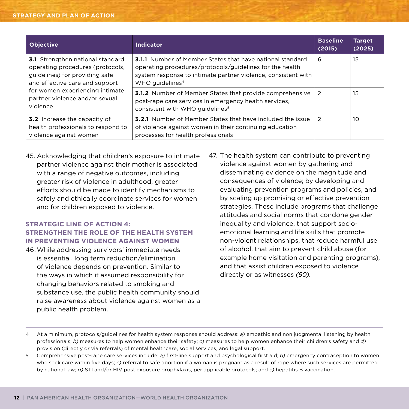| <b>Objective</b>                                                                                                                                | <b>Indicator</b>                                                                                                                                                                                                             | <b>Baseline</b><br>(2015) | <b>Target</b><br>(2025) |
|-------------------------------------------------------------------------------------------------------------------------------------------------|------------------------------------------------------------------------------------------------------------------------------------------------------------------------------------------------------------------------------|---------------------------|-------------------------|
| <b>3.1</b> Strengthen national standard<br>operating procedures (protocols,<br>guidelines) for providing safe<br>and effective care and support | <b>3.1.1</b> Number of Member States that have national standard<br>operating procedures/protocols/guidelines for the health<br>system response to intimate partner violence, consistent with<br>WHO guidelines <sup>4</sup> | 6                         | 15                      |
| for women experiencing intimate<br>partner violence and/or sexual<br>violence                                                                   | <b>3.1.2</b> Number of Member States that provide comprehensive<br>post-rape care services in emergency health services,<br>consistent with WHO guidelines <sup>5</sup>                                                      | 2                         | 15                      |
| <b>3.2</b> Increase the capacity of<br>health professionals to respond to<br>violence against women                                             | <b>3.2.1</b> Number of Member States that have included the issue<br>of violence against women in their continuing education<br>processes for health professionals                                                           | 2                         | 10                      |

45. Acknowledging that children's exposure to intimate partner violence against their mother is associated with a range of negative outcomes, including greater risk of violence in adulthood, greater efforts should be made to identify mechanisms to safely and ethically coordinate services for women and for children exposed to violence.

# **Strategic Line of Action 4: Strengthen the role of the health system in preventing violence against women**

- 46.While addressing survivors' immediate needs is essential, long term reduction/elimination of violence depends on prevention. Similar to the ways in which it assumed responsibility for changing behaviors related to smoking and substance use, the public health community should raise awareness about violence against women as a public health problem.
- 47. The health system can contribute to preventing violence against women by gathering and disseminating evidence on the magnitude and consequences of violence; by developing and evaluating prevention programs and policies, and by scaling up promising or effective prevention strategies. These include programs that challenge attitudes and social norms that condone gender inequality and violence, that support socioemotional learning and life skills that promote non-violent relationships, that reduce harmful use of alcohol, that aim to prevent child abuse (for example home visitation and parenting programs), and that assist children exposed to violence directly or as witnesses *(50)*.

- 4 At a minimum, protocols/guidelines for health system response should address: *a)* empathic and non judgmental listening by health professionals; *b)* measures to help women enhance their safety; *c)* measures to help women enhance their children's safety and *d)*  provision (directly or via referrals) of mental healthcare, social services, and legal support.
- 5 Comprehensive post-rape care services include: *a)* first-line support and psychological first aid; *b)* emergency contraception to women who seek care within five days; *c)* referral to safe abortion if a woman is pregnant as a result of rape where such services are permitted by national law; *d)* STI and/or HIV post exposure prophylaxis, per applicable protocols; and *e)* hepatitis B vaccination.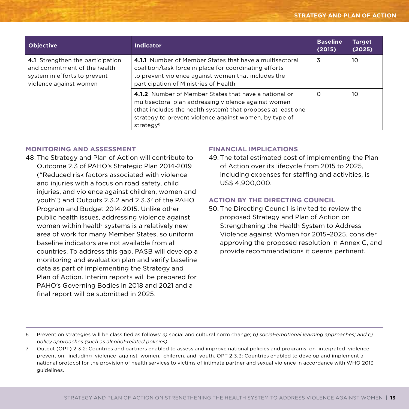| <b>Objective</b>                                                                                                           | <b>Indicator</b>                                                                                                                                                                                                                                                 | <b>Baseline</b><br>(2015) | <b>Target</b><br>(2025) |
|----------------------------------------------------------------------------------------------------------------------------|------------------------------------------------------------------------------------------------------------------------------------------------------------------------------------------------------------------------------------------------------------------|---------------------------|-------------------------|
| 4.1 Strengthen the participation<br>and commitment of the health<br>system in efforts to prevent<br>violence against women | 4.1.1 Number of Member States that have a multisectoral<br>coalition/task force in place for coordinating efforts<br>to prevent violence against women that includes the<br>participation of Ministries of Health                                                | 3                         | 10                      |
|                                                                                                                            | 4.1.2 Number of Member States that have a national or<br>multisectoral plan addressing violence against women<br>(that includes the health system) that proposes at least one<br>strategy to prevent violence against women, by type of<br>strategy <sup>6</sup> | O                         | 10                      |

## **Monitoring and Assessment**

48.The Strategy and Plan of Action will contribute to Outcome 2.3 of PAHO's Strategic Plan 2014-2019 ("Reduced risk factors associated with violence and injuries with a focus on road safety, child injuries, and violence against children, women and youth") and Outputs 2.3.2 and 2.3.37 of the PAHO Program and Budget 2014-2015. Unlike other public health issues, addressing violence against women within health systems is a relatively new area of work for many Member States, so uniform baseline indicators are not available from all countries. To address this gap, PASB will develop a monitoring and evaluation plan and verify baseline data as part of implementing the Strategy and Plan of Action. Interim reports will be prepared for PAHO's Governing Bodies in 2018 and 2021 and a final report will be submitted in 2025.

## **Financial Implications**

49. The total estimated cost of implementing the Plan of Action over its lifecycle from 2015 to 2025, including expenses for staffing and activities, is US\$ 4,900,000.

## **Action by the Directing Council**

50. The Directing Council is invited to review the proposed Strategy and Plan of Action on Strengthening the Health System to Address Violence against Women for 2015–2025, consider approving the proposed resolution in Annex C, and provide recommendations it deems pertinent.

<sup>6</sup> Prevention strategies will be classified as follows: *a)* social and cultural norm change; *b) social-emotional learning approaches; and c) policy approaches (such as alcohol-related policies).*

<sup>7</sup> Output (OPT) 2.3.2: Countries and partners enabled to assess and improve national policies and programs on integrated violence prevention, including violence against women, children, and youth. OPT 2.3.3: Countries enabled to develop and implement a national protocol for the provision of health services to victims of intimate partner and sexual violence in accordance with WHO 2013 guidelines.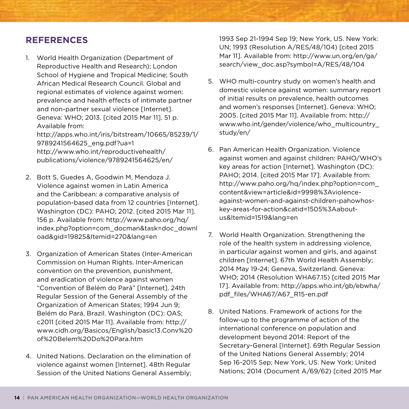# **References**

1. World Health Organization (Department of Reproductive Health and Research); London School of Hygiene and Tropical Medicine; South African Medical Research Council. Global and regional estimates of violence against women: prevalence and health effects of intimate partner and non-partner sexual violence [Internet]. Geneva: WHO; 2013. [cited 2015 Mar 11]. 51 p. Available from: http://apps.who.int/iris/bitstream/10665/85239/1/

9789241564625\_eng.pdf?ua=1 http://www.who.int/reproductivehealth/ publications/violence/9789241564625/en/

- 2. Bott S, Guedes A, Goodwin M, Mendoza J. Violence against women in Latin America and the Caribbean: a comparative analysis of population-based data from 12 countries [Internet]. Washington (DC): PAHO; 2012. [cited 2015 Mar 11]. 156 p. Available from: http://www.paho.org/hq/ index.php?option=com\_docman&task=doc\_downl oad&gid=19825&Itemid=270&lang=en
- 3. Organization of American States (Inter-American Commission on Human Rights. Inter-American convention on the prevention, punishment, and eradication of violence against women "Convention of Belém do Pará" [Internet]. 24th Regular Session of the General Assembly of the Organization of American States; 1994 Jun 9; Belém do Pará, Brazil. Washington (DC): OAS; c2011 [cited 2015 Mar 11]. Available from: http:// www.cidh.org/Basicos/English/basic13.Conv%20 of%20Belem%20Do%20Para.htm
- 4. United Nations. Declaration on the elimination of violence against women [Internet]. 48th Regular Session of the United Nations General Assembly;

1993 Sep 21-1994 Sep 19; New York, US. New York: UN; 1993 (Resolution A/RES/48/104) [cited 2015 Mar 11]. Available from: http://www.un.org/en/ga/ search/view\_doc.asp?symbol=A/RES/48/104

- 5. WHO multi-country study on women's health and domestic violence against women: summary report of initial results on prevalence, health outcomes and women's responses [Internet]. Geneva: WHO; 2005. [cited 2015 Mar 11]. Available from: http:// www.who.int/gender/violence/who\_multicountry\_ study/en/
- 6. Pan American Health Organization. Violence against women and against children: PAHO/WHO's key areas for action [Internet]. Washington (DC): PAHO; 2014. [cited 2015 Mar 17]. Available from: http://www.paho.org/hq/index.php?option=com\_ content&view=article&id=9998%3Aviolenceagainst-women-and-against-children-pahowhoskey-areas-for-action&catid=1505%3Aaboutus&Itemid=1519&lang=en
- 7. World Health Organization. Strengthening the role of the health system in addressing violence, in particular against women and girls, and against children [Internet]. 67th World Health Assembly; 2014 May 19-24; Geneva, Switzerland. Geneva: WHO; 2014 (Resolution WHA67.15) [cited 2015 Mar 17]. Available from: http://apps.who.int/gb/ebwha/ pdf\_files/WHA67/A67\_R15-en.pdf
- 8. United Nations. Framework of actions for the follow-up to the programme of action of the international conference on population and development beyond 2014: Report of the Secretary-General [Internet]. 69th Regular Session of the United Nations General Assembly; 2014 Sep 16-2015 Sep; New York, US. New York: United Nations; 2014 (Document A/69/62) [cited 2015 Mar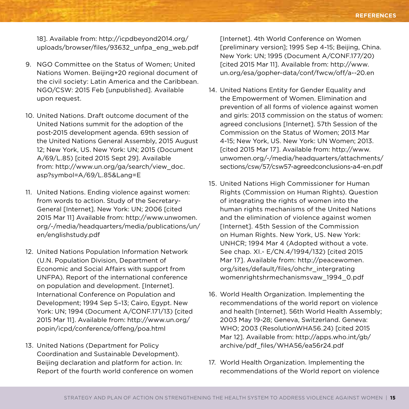18]. Available from: http://icpdbeyond2014.org/ uploads/browser/files/93632\_unfpa\_eng\_web.pdf

- 9. NGO Committee on the Status of Women; United Nations Women. Beijing+20 regional document of the civil society: Latin America and the Caribbean. NGO/CSW: 2015 Feb [unpublished]. Available upon request.
- 10. United Nations. Draft outcome document of the United Nations summit for the adoption of the post-2015 development agenda. 69th session of the United Nations General Assembly, 2015 August 12; New York, US. New York: UN; 2015 (Document A/69/L.85) [cited 2015 Sept 29]. Available from: http://www.un.org/ga/search/view\_doc. asp?symbol=A/69/L.85&Lang=E
- 11. United Nations. Ending violence against women: from words to action. Study of the Secretary-General [Internet]. New York: UN; 2006 [cited 2015 Mar 11] Available from: http://www.unwomen. org/~/media/headquarters/media/publications/un/ en/englishstudy.pdf
- 12. United Nations Population Information Network (U.N. Population Division, Department of Economic and Social Affairs with support from UNFPA). Report of the international conference on population and development. [Internet]. International Conference on Population and Development; 1994 Sep 5–13; Cairo, Egypt. New York: UN; 1994 (Document A/CONF.171/13) [cited 2015 Mar 11]. Available from: http://www.un.org/ popin/icpd/conference/offeng/poa.html
- 13. United Nations (Department for Policy Coordination and Sustainable Development). Beijing declaration and platform for action. In: Report of the fourth world conference on women

[Internet]. 4th World Conference on Women [preliminary version]; 1995 Sep 4-15; Beijing, China. New York: UN; 1995 (Document A/CONF.177/20) [cited 2015 Mar 11]. Available from: http://www. un.org/esa/gopher-data/conf/fwcw/off/a--20.en

- 14. United Nations Entity for Gender Equality and the Empowerment of Women. Elimination and prevention of all forms of violence against women and girls: 2013 commission on the status of women: agreed conclusions [Internet]. 57th Session of the Commission on the Status of Women; 2013 Mar 4-15; New York, US. New York: UN Women; 2013. [cited 2015 Mar 17]. Available from: http://www. unwomen.org/~/media/headquarters/attachments/ sections/csw/57/csw57-agreedconclusions-a4-en.pdf
- 15. United Nations High Commissioner for Human Rights (Commission on Human Rights). Question of integrating the rights of women into the human rights mechanisms of the United Nations and the elimination of violence against women [Internet]. 45th Session of the Commission on Human Rights. New York, US. New York: UNHCR; 1994 Mar 4 (Adopted without a vote. See chap. XI.- E/CN.4/1994/132) [cited 2015 Mar 17]. Available from: http://peacewomen. org/sites/default/files/ohchr\_intergrating womenrightshrmechanismsvaw\_1994\_0.pdf
- 16. World Health Organization. Implementing the recommendations of the world report on violence and health [Internet]. 56th World Health Assembly; 2003 May 19-28; Geneva, Switzerland. Geneva: WHO; 2003 (ResolutionWHA56.24) [cited 2015 Mar 12]. Available from: http://apps.who.int/gb/ archive/pdf\_files/WHA56/ea56r24.pdf
- 17. World Health Organization. Implementing the recommendations of the World report on violence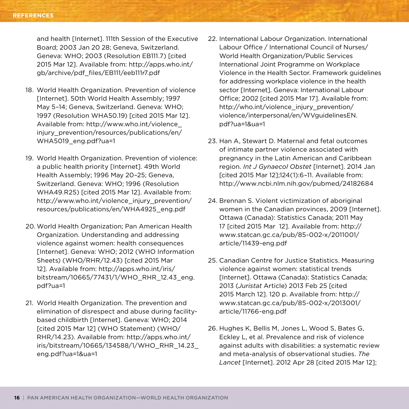and health [Internet]. 111th Session of the Executive Board; 2003 Jan 20 28; Geneva, Switzerland. Geneva: WHO; 2003 (Resolution EB111.7) [cited 2015 Mar 12]. Available from: http://apps.who.int/ gb/archive/pdf\_files/EB111/eeb111r7.pdf

- 18. World Health Organization. Prevention of violence [Internet]. 50th World Health Assembly; 1997 May 5–14; Geneva, Switzerland. Geneva: WHO; 1997 (Resolution WHA50.19) [cited 2015 Mar 12]. Available from: http://www.who.int/violence\_ injury\_prevention/resources/publications/en/ WHA5019 eng.pdf?ua=1
- 19. World Health Organization. Prevention of violence: a public health priority [Internet]. 49th World Health Assembly; 1996 May 20–25; Geneva, Switzerland. Geneva: WHO; 1996 (Resolution WHA49.R25) [cited 2015 Mar 12]. Available from: http://www.who.int/violence\_injury\_prevention/ resources/publications/en/WHA4925\_eng.pdf
- 20. World Health Organization; Pan American Health Organization. Understanding and addressing violence against women: health consequences [Internet]. Geneva: WHO; 2012 (WHO Information Sheets) (WHO/RHR/12.43) [cited 2015 Mar 12]. Available from: http://apps.who.int/iris/ bitstream/10665/77431/1/WHO\_RHR\_12.43\_eng. pdf?ua=1
- 21. World Health Organization. The prevention and elimination of disrespect and abuse during facilitybased childbirth [Internet]. Geneva: WHO; 2014 [cited 2015 Mar 12] (WHO Statement) (WHO/ RHR/14.23). Available from: http://apps.who.int/ iris/bitstream/10665/134588/1/WHO\_RHR\_14.23\_ eng.pdf?ua=1&ua=1
- 22. International Labour Organization. International Labour Office / International Council of Nurses/ World Health Organization/Public Services International Joint Programme on Workplace Violence in the Health Sector. Framework guidelines for addressing workplace violence in the health sector [Internet]. Geneva: International Labour Office; 2002 [cited 2015 Mar 17]. Available from: http://who.int/violence\_injury\_prevention/ violence/interpersonal/en/WVguidelinesEN. pdf?ua=1&ua=1
- 23. Han A, Stewart D. Maternal and fetal outcomes of intimate partner violence associated with pregnancy in the Latin American and Caribbean region. *Int J Gynaecol Obstet* [Internet]. 2014 Jan [cited 2015 Mar 12];124(1):6–11. Available from: http://www.ncbi.nlm.nih.gov/pubmed/24182684
- 24. Brennan S. Violent victimization of aboriginal women in the Canadian provinces, 2009 [Internet]. Ottawa (Canada): Statistics Canada; 2011 May 17 [cited 2015 Mar 12]. Available from: http:// www.statcan.gc.ca/pub/85-002-x/2011001/ article/11439-eng.pdf
- 25. Canadian Centre for Justice Statistics. Measuring violence against women: statistical trends [Internet]. Ottawa (Canada): Statistics Canada; 2013 (*Juristat* Article) 2013 Feb 25 [cited 2015 March 12]. 120 p. Available from: http:// www.statcan.gc.ca/pub/85-002-x/2013001/ article/11766-eng.pdf
- 26. Hughes K, Bellis M, Jones L, Wood S, Bates G, Eckley L, et al. Prevalence and risk of violence against adults with disabilities: a systematic review and meta-analysis of observational studies. *The Lancet* [Internet]. 2012 Apr 28 [cited 2015 Mar 12];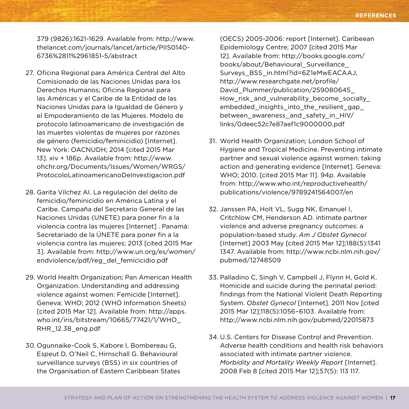379 (9826):1621-1629. Available from: http://www. thelancet.com/journals/lancet/article/PIIS0140- 6736%2811%2961851-5/abstract

- 27. Oficina Regional para América Central del Alto Comisionado de las Naciones Unidas para los Derechos Humanos; Oficina Regional para las Américas y el Caribe de la Entidad de las Naciones Unidas para la Igualdad de Género y el Empoderamiento de las Mujeres. Modelo de protocolo latinoamericano de investigación de las muertes violentas de mujeres por razones de género (femicidio/feminicidio) [Internet]. New York: OACNUDH; 2014 [cited 2015 Mar 13]. xiv + 186p. Available from: http://www. ohchr.org/Documents/Issues/Women/WRGS/ ProtocoloLatinoamericanoDeInvestigacion.pdf
- 28. Garita Vilchez AI. La regulación del delito de femicidio/feminicidio en América Latina y el Caribe. Campaña del Secretario General de las Naciones Unidas (UNETE) para poner fin a la violencia contra las mujeres [Internet] . Panamá: Secretariado de la ÚNETE para poner fin a la violencia contra las mujeres; 2013 [cited 2015 Mar 3]. Available from: http://www.un.org/es/women/ endviolence/pdf/reg\_del\_femicicidio.pdf
- 29. World Health Organization; Pan American Health Organization. Understanding and addressing violence against women: Femicide [Internet]. Geneva: WHO; 2012 (WHO Information Sheets) [cited 2015 Mar 12]. Available from: http://apps. who.int/iris/bitstream/10665/77421/1/WHO\_ RHR\_12.38\_eng.pdf
- 30. Ogunnaike-Cook S, Kabore I, Bombereau G, Espeut D, O'Neil C, Hirnschall G. Behavioural surveillance surveys (BSS) in six countries of the Organisation of Eastern Caribbean States

(OECS) 2005-2006: report [Internet]. Caribeean Epidemiology Centre; 2007 [cited 2015 Mar 12]. Available from: http://books.google.com/ books/about/Behavioural\_Surveillance\_ Surveys\_BSS\_in.html?id=6Z1eMwEACAAJ, http://www.researchgate.net/profile/ David\_Plummer/publication/259080645\_ How risk and vulnerability become socially embedded insights into the resilient gap between awareness and safety in HIV/ links/0deec52c7e87aef1c9000000.pdf

- 31. World Health Organization; London School of Hygiene and Tropical Medicine. Preventing intimate partner and sexual violence against women: taking action and generating evidence [Internet]. Geneva: WHO; 2010. [cited 2015 Mar 11]. 94p. Available from: http://www.who.int/reproductivehealth/ publications/violence/9789241564007/en
- 32. Janssen PA, Holt VL, Sugg NK, Emanuel I, Critchlow CM, Henderson AD. intimate partner violence and adverse pregnancy outcomes: a population-based study. *Am J Obstet Gynecol* [Internet] 2003 May [cited 2015 Mar 12];188(5):1341 1347. Available from: http://www.ncbi.nlm.nih.gov/ pubmed/12748509
- 33. Palladino C, Singh V, Campbell J, Flynn H, Gold K. Homicide and suicide during the perinatal period: findings from the National Violent Death Reporting System. *Obstet Gynecol* [Internet]. 2011 Nov [cited 2015 Mar 12];118(5):1056–6103. Available from: http://www.ncbi.nlm.nih.gov/pubmed/22015873
- 34. U.S. Centers for Disease Control and Prevention. Adverse health conditions and health risk behaviors associated with intimate partner violence. *Morbidity and Mortality Weekly Report* [Internet]. 2008 Feb 8 [cited 2015 Mar 12];57(5): 113 117.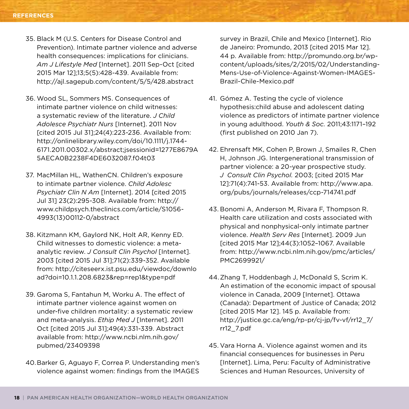- 35. Black M (U.S. Centers for Disease Control and Prevention). Intimate partner violence and adverse health consequences: implications for clinicians. *Am J Lifestyle Med* [Internet]. 2011 Sep-Oct [cited 2015 Mar 12];13;5(5):428-439. Available from: http://ajl.sagepub.com/content/5/5/428.abstract
- 36. Wood SL, Sommers MS. Consequences of intimate partner violence on child witnesses: a systematic review of the literature. *J Child Adolesce Psychiatr Nurs* [Internet]. 2011 Nov [cited 2015 Jul 31];24(4):223-236. Available from: http://onlinelibrary.wiley.com/doi/10.1111/j.1744- 6171.2011.00302.x/abstract;jsessionid=1277E8679A 5AECA0B2238F4DE6032087.f04t03
- 37. MacMillan HL, WathenCN. Children's exposure to intimate partner violence. *Child Adolesc Psychiatr Clin N Am* [Internet]. 2014 [cited 2015 Jul 31] 23(2):295-308. Available from: http:// www.childpsych.theclinics.com/article/S1056- 4993(13)00112-0/abstract
- 38. Kitzmann KM, Gaylord NK, Holt AR, Kenny ED. Child witnesses to domestic violence: a metaanalytic review. *J Consult Clin Psychol* [Internet]. 2003 [cited 2015 Jul 31];71(2):339-352. Available from: http://citeseerx.ist.psu.edu/viewdoc/downlo ad?doi=10.1.1.208.6823&rep=rep1&type=pdf
- 39. Garoma S, Fantahun M, Worku A. The effect of intimate partner violence against women on under-five children mortality: a systematic review and meta-analysis. *Ethip Med J* [Internet]. 2011 Oct [cited 2015 Jul 31];49(4):331-339. Abstract available from: http://www.ncbi.nlm.nih.gov/ pubmed/23409398
- 40.Barker G, Aguayo F, Correa P. Understanding men's violence against women: findings from the IMAGES

survey in Brazil, Chile and Mexico [Internet]. Rio de Janeiro: Promundo, 2013 [cited 2015 Mar 12]. 44 p. Available from: http://promundo.org.br/wpcontent/uploads/sites/2/2015/02/Understanding-Mens-Use-of-Violence-Against-Women-IMAGES-Brazil-Chile-Mexico.pdf

- 41. Gómez A. Testing the cycle of violence hypothesis:child abuse and adolescent dating violence as predictors of intimate partner violence in young adulthood. *Youth & Soc.* 2011;43:1171–192 (first published on 2010 Jan 7).
- 42. Ehrensaft MK, Cohen P, Brown J, Smailes R, Chen H, Johnson JG. Intergenerational transmission of partner violence: a 20-year prospective study. *J Consult Clin Psychol.* 2003; [cited 2015 Mar 12]:71(4):741-53. Available from: http://www.apa. org/pubs/journals/releases/ccp-714741.pdf
- 43. Bonomi A, Anderson M, Rivara F, Thompson R. Health care utilization and costs associated with physical and nonphysical-only intimate partner violence. *Health Serv Res* [Internet]. 2009 Jun [cited 2015 Mar 12];44(3):1052–1067. Available from: http://www.ncbi.nlm.nih.gov/pmc/articles/ PMC2699921/
- 44.Zhang T, Hoddenbagh J, McDonald S, Scrim K. An estimation of the economic impact of spousal violence in Canada, 2009 [Internet]. Ottawa (Canada): Department of Justice of Canada; 2012 [cited 2015 Mar 12]. 145 p. Available from: http://justice.gc.ca/eng/rp-pr/cj-jp/fv-vf/rr12\_7/ rr12\_7.pdf
- 45. Vara Horna A. Violence against women and its financial consequences for businesses in Peru [Internet]. Lima, Peru: Faculty of Administrative Sciences and Human Resources, University of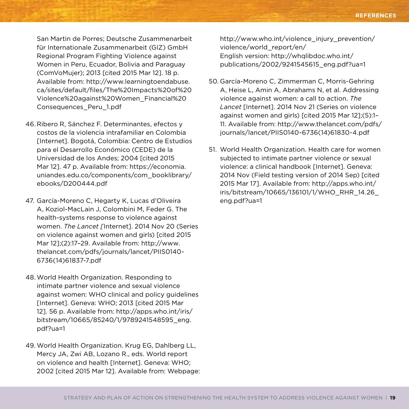San Martin de Porres; Deutsche Zusammenarbeit für Internationale Zusammenarbeit (GIZ) GmbH Regional Program Fighting Violence against Women in Peru, Ecuador, Bolivia and Paraguay (ComVoMujer); 2013 [cited 2015 Mar 12]. 18 p. Available from: http://www.learningtoendabuse. ca/sites/default/files/The%20Impacts%20of%20 Violence%20against%20Women\_Financial%20 Consequences\_Peru\_1.pdf

- 46. Ribero R, Sánchez F. Determinantes, efectos y costos de la violencia intrafamiliar en Colombia [Internet]. Bogotá, Colombia: Centro de Estudios para el Desarrollo Económico (CEDE) de la Universidad de los Andes; 2004 [cited 2015 Mar 12]. 47 p. Available from: https://economia. uniandes.edu.co/components/com\_booklibrary/ ebooks/D200444.pdf
- 47. García-Moreno C, Hegarty K, Lucas d'Oliveira A, Koziol-MacLain J, Colombini M, Feder G. The health-systems response to violence against women. *The Lancet [*Internet]. 2014 Nov 20 (Series on violence against women and girls) [cited 2015 Mar 12];(2):17–29. Available from: http://www. thelancet.com/pdfs/journals/lancet/PIIS0140- 6736(14)61837-7.pdf
- 48.World Health Organization. Responding to intimate partner violence and sexual violence against women: WHO clinical and policy guidelines [Internet]. Geneva: WHO; 2013 [cited 2015 Mar 12]. 56 p. Available from: http://apps.who.int/iris/ bitstream/10665/85240/1/9789241548595\_eng. pdf?ua=1
- 49. World Health Organization. Krug EG, Dahlberg LL, Mercy JA, Zwi AB, Lozano R., eds. World report on violence and health [Internet]. Geneva: WHO; 2002 [cited 2015 Mar 12]. Available from: Webpage:

http://www.who.int/violence\_injury\_prevention/ violence/world\_report/en/ English version: http://whqlibdoc.who.int/ publications/2002/9241545615\_eng.pdf?ua=1

- 50. García-Moreno C, Zimmerman C, Morris-Gehring A, Heise L, Amin A, Abrahams N, et al. Addressing violence against women: a call to action. *The Lancet* [Internet]. 2014 Nov 21 (Series on violence against women and girls) [cited 2015 Mar 12];(5):1– 11. Available from: http://www.thelancet.com/pdfs/ journals/lancet/PIIS0140-6736(14)61830-4.pdf
- 51. World Health Organization. Health care for women subjected to intimate partner violence or sexual violence: a clinical handbook [Internet]. Geneva: 2014 Nov (Field testing version of 2014 Sep) [cited 2015 Mar 17]. Available from: http://apps.who.int/ iris/bitstream/10665/136101/1/WHO\_RHR\_14.26\_ eng.pdf?ua=1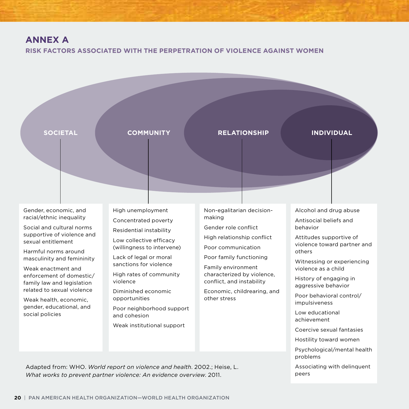# **Annex A**

**Risk Factors associated with the Perpetration of Violence against Women**



Adapted from: WHO. *World report on violence and health*. 2002.; Heise, L. *What works to prevent partner violence: An evidence overview*. 2011.

Associating with delinquent peers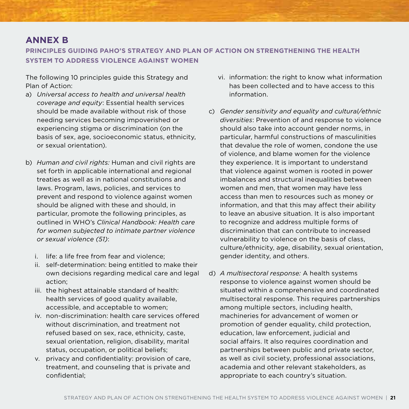# **Annex B**

**Principles guiding PAHO's Strategy and Plan of Action on strengthening the health system to address violence against women**

The following 10 principles guide this Strategy and Plan of Action:

- a) *Universal access to health and universal health coverage and equity*: Essential health services should be made available without risk of those needing services becoming impoverished or experiencing stigma or discrimination (on the basis of sex, age, socioeconomic status, ethnicity, or sexual orientation).
- b) *Human and civil rights:* Human and civil rights are set forth in applicable international and regional treaties as well as in national constitutions and laws. Program, laws, policies, and services to prevent and respond to violence against women should be aligned with these and should, in particular, promote the following principles, as outlined in WHO's *Clinical Handbook: Health care for women subjected to intimate partner violence or sexual violence (51)*:
	- i. life: a life free from fear and violence;
	- ii. self-determination: being entitled to make their own decisions regarding medical care and legal action;
	- iii. the highest attainable standard of health: health services of good quality available, accessible, and acceptable to women;
	- iv. non-discrimination: health care services offered without discrimination, and treatment not refused based on sex, race, ethnicity, caste, sexual orientation, religion, disability, marital status, occupation, or political beliefs;
	- v. privacy and confidentiality: provision of care, treatment, and counseling that is private and confidential;
- vi. information: the right to know what information has been collected and to have access to this information.
- c) *Gender sensitivity and equality and cultural/ethnic diversities*: Prevention of and response to violence should also take into account gender norms, in particular, harmful constructions of masculinities that devalue the role of women, condone the use of violence, and blame women for the violence they experience. It is important to understand that violence against women is rooted in power imbalances and structural inequalities between women and men, that women may have less access than men to resources such as money or information, and that this may affect their ability to leave an abusive situation. It is also important to recognize and address multiple forms of discrimination that can contribute to increased vulnerability to violence on the basis of class, culture/ethnicity, age, disability, sexual orientation, gender identity, and others.
- d) *A multisectoral response:* A health systems response to violence against women should be situated within a comprehensive and coordinated multisectoral response. This requires partnerships among multiple sectors, including health, machineries for advancement of women or promotion of gender equality, child protection, education, law enforcement, judicial and social affairs. It also requires coordination and partnerships between public and private sector, as well as civil society, professional associations, academia and other relevant stakeholders, as appropriate to each country's situation.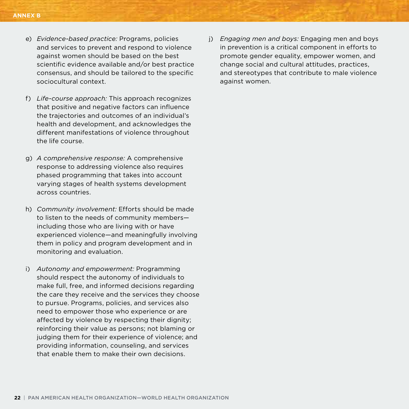- e) *Evidence-based practice:* Programs, policies and services to prevent and respond to violence against women should be based on the best scientific evidence available and/or best practice consensus, and should be tailored to the specific sociocultural context.
- f) *Life-course approach:* This approach recognizes that positive and negative factors can influence the trajectories and outcomes of an individual's health and development, and acknowledges the different manifestations of violence throughout the life course.
- g) *A comprehensive response:* A comprehensive response to addressing violence also requires phased programming that takes into account varying stages of health systems development across countries.
- h) *Community involvement:* Efforts should be made to listen to the needs of community members including those who are living with or have experienced violence—and meaningfully involving them in policy and program development and in monitoring and evaluation.
- i) *Autonomy and empowerment:* Programming should respect the autonomy of individuals to make full, free, and informed decisions regarding the care they receive and the services they choose to pursue. Programs, policies, and services also need to empower those who experience or are affected by violence by respecting their dignity; reinforcing their value as persons; not blaming or judging them for their experience of violence; and providing information, counseling, and services that enable them to make their own decisions.

j) *Engaging men and boys:* Engaging men and boys in prevention is a critical component in efforts to promote gender equality, empower women, and change social and cultural attitudes, practices, and stereotypes that contribute to male violence against women.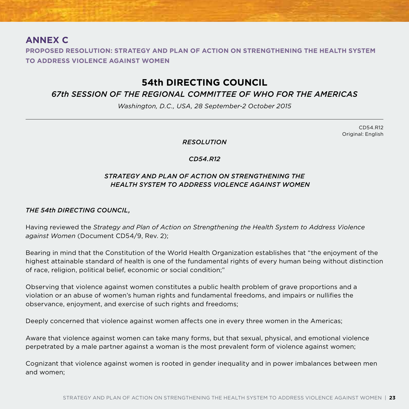# **Annex C**

**PROPOSED RESOLUTION: STRATEGY AND PLAN OF ACTION ON STRENGTHENING THE HEALTH SYSTEM TO ADDRESS VIOLENCE AGAINST WOMEN**

# **54th DIRECTING COUNCIL**

# *67th SESSION OF THE REGIONAL COMMITTEE OF WHO FOR THE AMERICAS*

*Washington, D.C., USA, 28 September-2 October 2015*

CD54.R12 Original: English

*RESOLUTION*

# *CD54.R12*

# *STRATEGY AND PLAN OF ACTION ON STRENGTHENING THE HEALTH SYSTEM TO ADDRESS VIOLENCE AGAINST WOMEN*

## *THE 54th DIRECTING COUNCIL,*

Having reviewed the *Strategy and Plan of Action on Strengthening the Health System to Address Violence against Women* (Document CD54/9, Rev. 2);

Bearing in mind that the Constitution of the World Health Organization establishes that "the enjoyment of the highest attainable standard of health is one of the fundamental rights of every human being without distinction of race, religion, political belief, economic or social condition;"

Observing that violence against women constitutes a public health problem of grave proportions and a violation or an abuse of women's human rights and fundamental freedoms, and impairs or nullifies the observance, enjoyment, and exercise of such rights and freedoms;

Deeply concerned that violence against women affects one in every three women in the Americas;

Aware that violence against women can take many forms, but that sexual, physical, and emotional violence perpetrated by a male partner against a woman is the most prevalent form of violence against women;

Cognizant that violence against women is rooted in gender inequality and in power imbalances between men and women;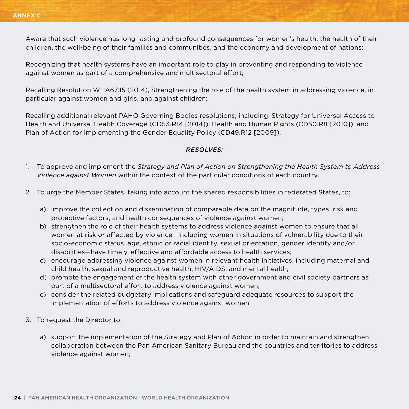Aware that such violence has long-lasting and profound consequences for women's health, the health of their children, the well-being of their families and communities, and the economy and development of nations;

Recognizing that health systems have an important role to play in preventing and responding to violence against women as part of a comprehensive and multisectoral effort;

Recalling Resolution WHA67.15 (2014), Strengthening the role of the health system in addressing violence, in particular against women and girls, and against children;

Recalling additional relevant PAHO Governing Bodies resolutions, including: Strategy for Universal Access to Health and Universal Health Coverage (CD53.R14 [2014]); Health and Human Rights (CD50.R8 [2010]); and Plan of Action for Implementing the Gender Equality Policy (CD49.R12 [2009]),

## *RESOLVES:*

- 1. To approve and implement the *Strategy and Plan of Action on Strengthening the Health System to Address Violence against Women* within the context of the particular conditions of each country.
- 2. To urge the Member States, taking into account the shared responsibilities in federated States, to:
	- a) improve the collection and dissemination of comparable data on the magnitude, types, risk and protective factors, and health consequences of violence against women;
	- b) strengthen the role of their health systems to address violence against women to ensure that all women at risk or affected by violence—including women in situations of vulnerability due to their socio-economic status, age, ethnic or racial identity, sexual orientation, gender identity and/or disabilities—have timely, effective and affordable access to health services;
	- c) encourage addressing violence against women in relevant health initiatives, including maternal and child health, sexual and reproductive health, HIV/AIDS, and mental health;
	- d) promote the engagement of the health system with other government and civil society partners as part of a multisectoral effort to address violence against women;
	- e) consider the related budgetary implications and safeguard adequate resources to support the implementation of efforts to address violence against women.
- 3. To request the Director to:
	- a) support the implementation of the Strategy and Plan of Action in order to maintain and strengthen collaboration between the Pan American Sanitary Bureau and the countries and territories to address violence against women;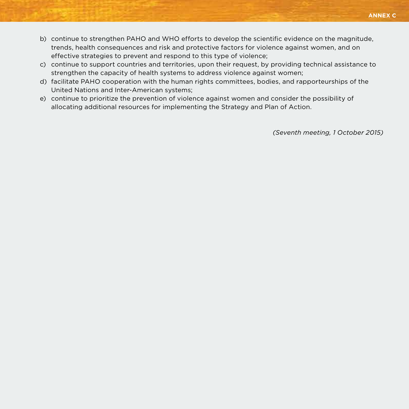- **annex c**
- b) continue to strengthen PAHO and WHO efforts to develop the scientific evidence on the magnitude, trends, health consequences and risk and protective factors for violence against women, and on effective strategies to prevent and respond to this type of violence;
- c) continue to support countries and territories, upon their request, by providing technical assistance to strengthen the capacity of health systems to address violence against women;
- d) facilitate PAHO cooperation with the human rights committees, bodies, and rapporteurships of the United Nations and Inter-American systems;
- e) continue to prioritize the prevention of violence against women and consider the possibility of allocating additional resources for implementing the Strategy and Plan of Action.

*(Seventh meeting, 1 October 2015)*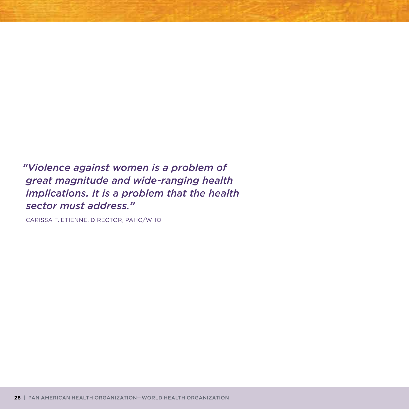*"Violence against women is a problem of great magnitude and wide-ranging health implications. It is a problem that the health sector must address."*

Carissa F. Etienne, Director, PAHO/WHO